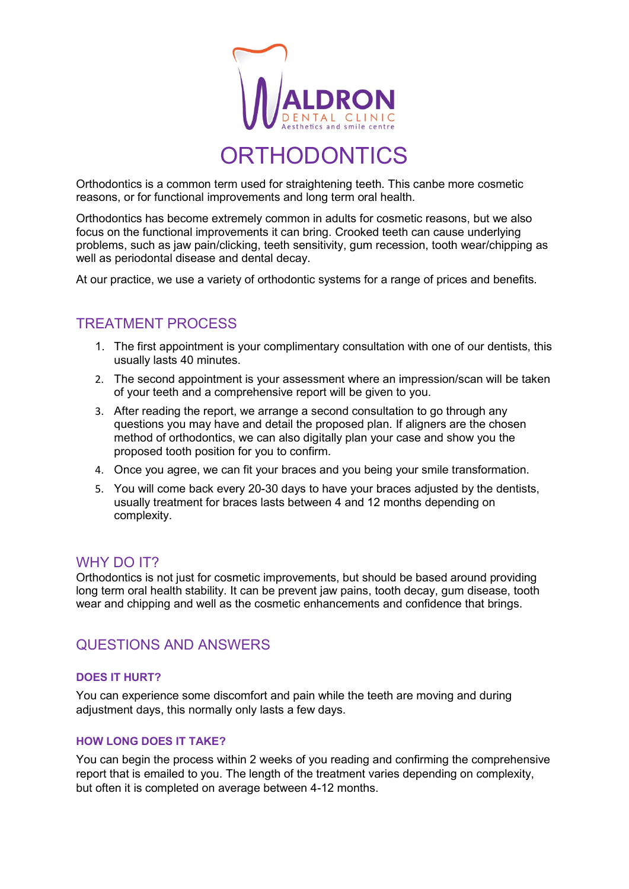

**ORTHODONTICS** 

Orthodontics is a common term used for straightening teeth. This canbe more cosmetic reasons, or for functional improvements and long term oral health.

Orthodontics has become extremely common in adults for cosmetic reasons, but we also focus on the functional improvements it can bring. Crooked teeth can cause underlying problems, such as jaw pain/clicking, teeth sensitivity, gum recession, tooth wear/chipping as well as periodontal disease and dental decay.

At our practice, we use a variety of orthodontic systems for a range of prices and benefits.

# TREATMENT PROCESS

- 1. The first appointment is your complimentary consultation with one of our dentists, this usually lasts 40 minutes.
- 2. The second appointment is your assessment where an impression/scan will be taken of your teeth and a comprehensive report will be given to you.
- 3. After reading the report, we arrange a second consultation to go through any questions you may have and detail the proposed plan. If aligners are the chosen method of orthodontics, we can also digitally plan your case and show you the proposed tooth position for you to confirm.
- 4. Once you agree, we can fit your braces and you being your smile transformation.
- 5. You will come back every 20-30 days to have your braces adjusted by the dentists, usually treatment for braces lasts between 4 and 12 months depending on complexity.

## WHY DO **IT?**

Orthodontics is not just for cosmetic improvements, but should be based around providing long term oral health stability. It can be prevent jaw pains, tooth decay, gum disease, tooth wear and chipping and well as the cosmetic enhancements and confidence that brings.

# QUESTIONS AND ANSWERS

## **DOES IT HURT?**

You can experience some discomfort and pain while the teeth are moving and during adjustment days, this normally only lasts a few days.

## **HOW LONG DOES IT TAKE?**

You can begin the process within 2 weeks of you reading and confirming the comprehensive report that is emailed to you. The length of the treatment varies depending on complexity, but often it is completed on average between 4-12 months.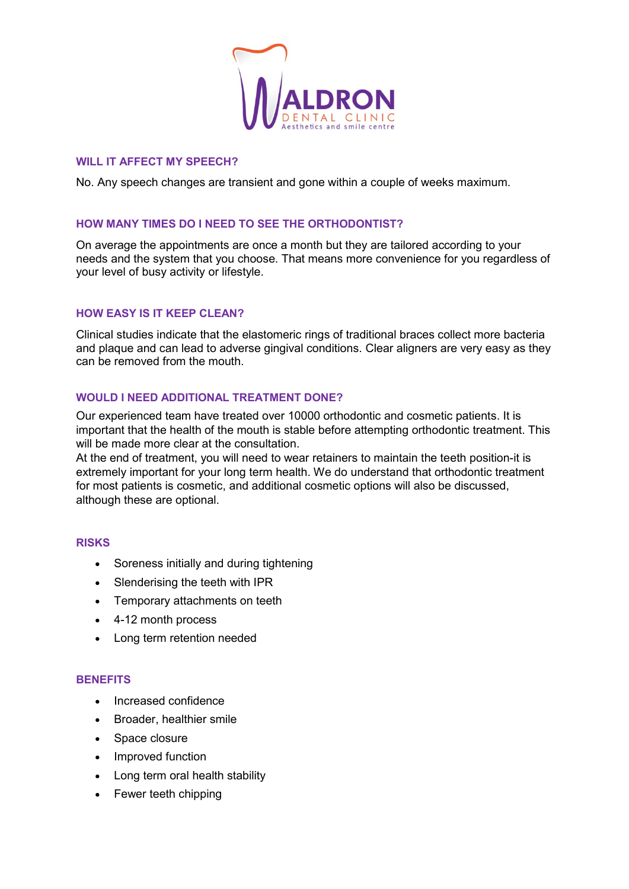

#### **WILL IT AFFECT MY SPEECH?**

No. Any speech changes are transient and gone within a couple of weeks maximum.

## **HOW MANY TIMES DO I NEED TO SEE THE ORTHODONTIST?**

On average the appointments are once a month but they are tailored according to your needs and the system that you choose. That means more convenience for you regardless of your level of busy activity or lifestyle.

#### **HOW EASY IS IT KEEP CLEAN?**

Clinical studies indicate that the elastomeric rings of traditional braces collect more bacteria and plaque and can lead to adverse gingival conditions. Clear aligners are very easy as they can be removed from the mouth.

#### **WOULD I NEED ADDITIONAL TREATMENT DONE?**

Our experienced team have treated over 10000 orthodontic and cosmetic patients. It is important that the health of the mouth is stable before attempting orthodontic treatment. This will be made more clear at the consultation.

At the end of treatment, you will need to wear retainers to maintain the teeth position-it is extremely important for your long term health. We do understand that orthodontic treatment for most patients is cosmetic, and additional cosmetic options will also be discussed, although these are optional.

#### **RISKS**

- Soreness initially and during tightening
- Slenderising the teeth with IPR
- Temporary attachments on teeth
- 4-12 month process
- Long term retention needed

#### **BENEFITS**

- Increased confidence
- Broader, healthier smile
- Space closure
- Improved function
- Long term oral health stability
- Fewer teeth chipping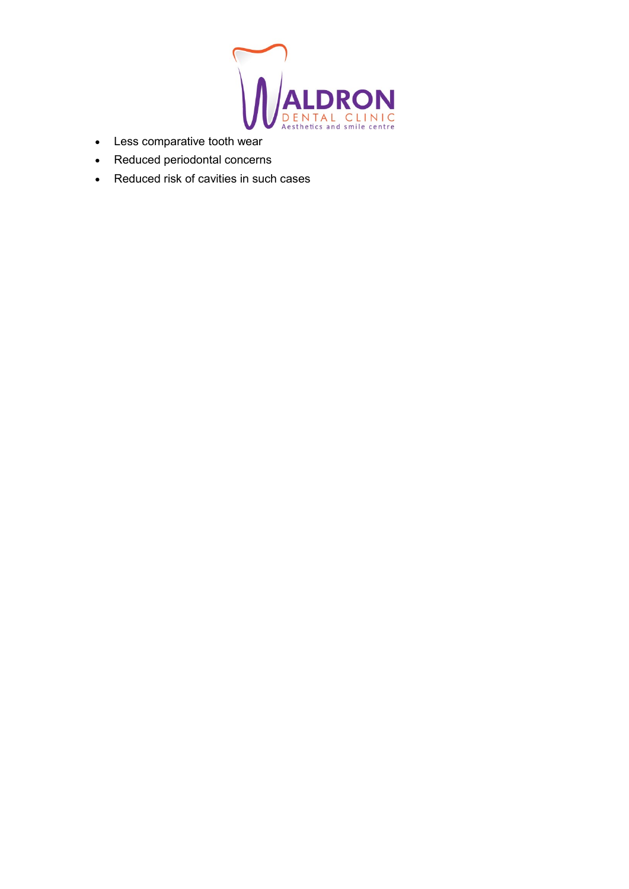

- Less comparative tooth wear
- Reduced periodontal concerns
- Reduced risk of cavities in such cases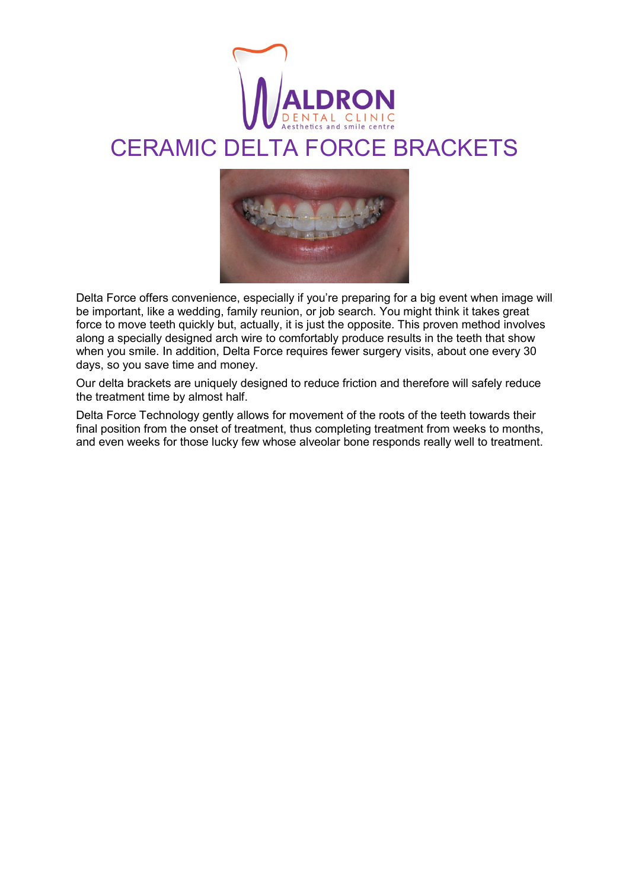

# CERAMIC DELTA FORCE BRACKETS



Delta Force offers convenience, especially if you're preparing for a big event when image will be important, like a wedding, family reunion, or job search. You might think it takes great force to move teeth quickly but, actually, it is just the opposite. This proven method involves along a specially designed arch wire to comfortably produce results in the teeth that show when you smile. In addition, Delta Force requires fewer surgery visits, about one every 30 days, so you save time and money.

Our delta brackets are uniquely designed to reduce friction and therefore will safely reduce the treatment time by almost half.

Delta Force Technology gently allows for movement of the roots of the teeth towards their final position from the onset of treatment, thus completing treatment from weeks to months, and even weeks for those lucky few whose alveolar bone responds really well to treatment.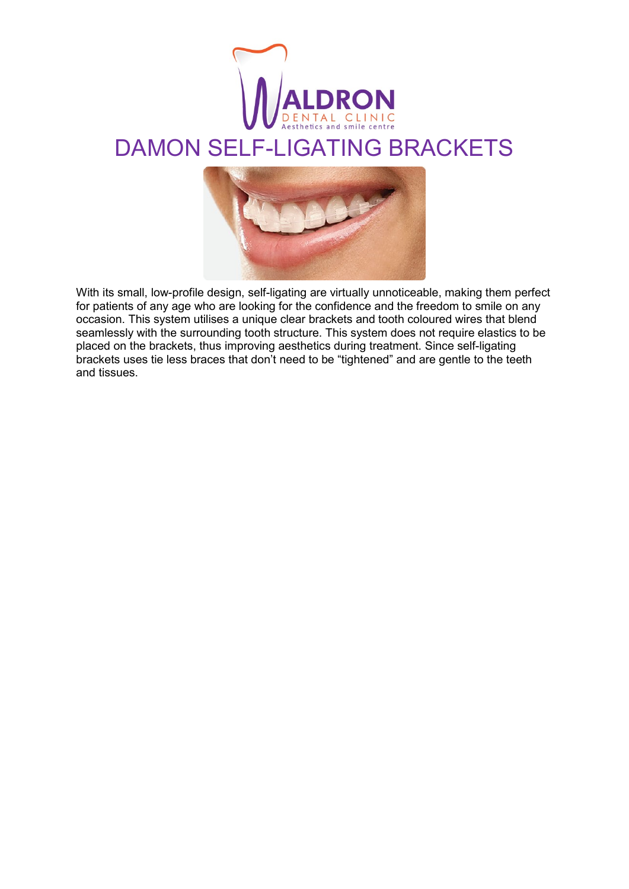

# DAMON SELF-LIGATING BRACKETS



With its small, low-profile design, self-ligating are virtually unnoticeable, making them perfect for patients of any age who are looking for the confidence and the freedom to smile on any occasion. This system utilises a unique clear brackets and tooth coloured wires that blend seamlessly with the surrounding tooth structure. This system does not require elastics to be placed on the brackets, thus improving aesthetics during treatment. Since self-ligating brackets uses tie less braces that don't need to be "tightened" and are gentle to the teeth and tissues.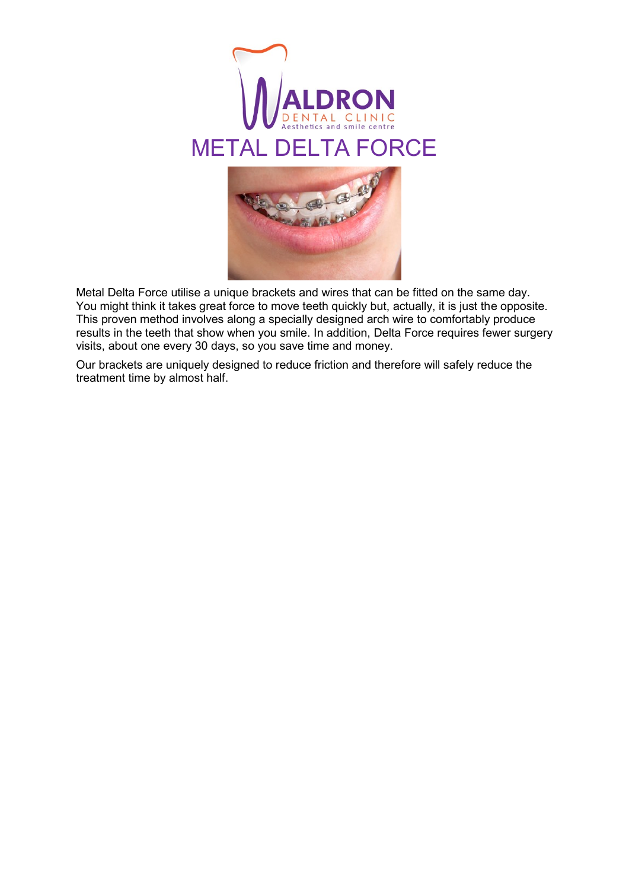



Metal Delta Force utilise a unique brackets and wires that can be fitted on the same day. You might think it takes great force to move teeth quickly but, actually, it is just the opposite. This proven method involves along a specially designed arch wire to comfortably produce results in the teeth that show when you smile. In addition, Delta Force requires fewer surgery visits, about one every 30 days, so you save time and money.

Our brackets are uniquely designed to reduce friction and therefore will safely reduce the treatment time by almost half.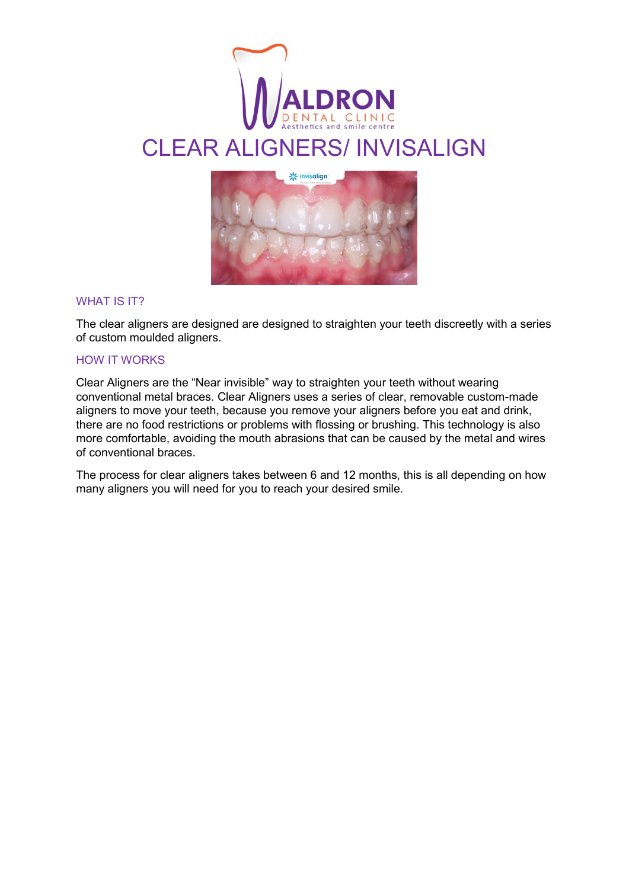

# CLEAR ALIGNERS/ INVISALIGN



## WHAT IS **IT?**

The clear aligners are designed are designed to straighten your teeth discreetly with a series of custom moulded aligners.

## HOW IT WORKS

Clear Aligners are the "Near invisible" way to straighten your teeth without wearing conventional metal braces. Clear Aligners uses a series of clear, removable custom-made aligners to move your teeth, because you remove your aligners before you eat and drink, there are no food restrictions or problems with flossing or brushing. This technology is also more comfortable, avoiding the mouth abrasions that can be caused by the metal and wires of conventional braces.

The process for clear aligners takes between 6 and 12 months, this is all depending on how many aligners you will need for you to reach your desired smile.